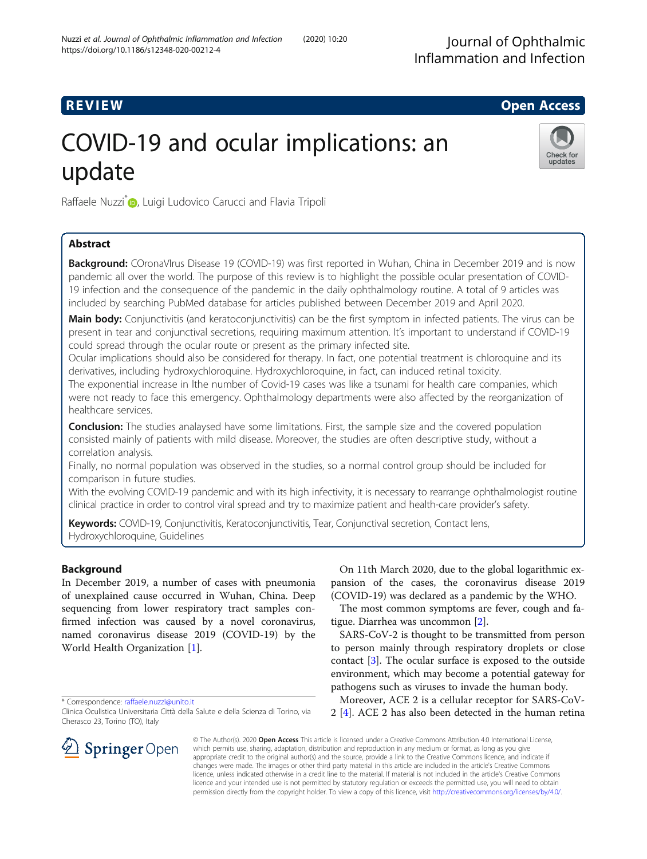## **REVIEW CONSTRUCTION CONSTRUCTION CONSTRUCTS**

# COVID-19 and ocular implications: an update



Raffaele Nuzzi<sup>\*</sup> <sub>(b</sub>, Luigi Ludovico Carucci and Flavia Tripoli

## Abstract

Background: COronaVIrus Disease 19 (COVID-19) was first reported in Wuhan, China in December 2019 and is now pandemic all over the world. The purpose of this review is to highlight the possible ocular presentation of COVID-19 infection and the consequence of the pandemic in the daily ophthalmology routine. A total of 9 articles was included by searching PubMed database for articles published between December 2019 and April 2020.

Main body: Conjunctivitis (and keratoconjunctivitis) can be the first symptom in infected patients. The virus can be present in tear and conjunctival secretions, requiring maximum attention. It's important to understand if COVID-19 could spread through the ocular route or present as the primary infected site.

Ocular implications should also be considered for therapy. In fact, one potential treatment is chloroquine and its derivatives, including hydroxychloroquine. Hydroxychloroquine, in fact, can induced retinal toxicity.

The exponential increase in lthe number of Covid-19 cases was like a tsunami for health care companies, which were not ready to face this emergency. Ophthalmology departments were also affected by the reorganization of healthcare services.

**Conclusion:** The studies analaysed have some limitations. First, the sample size and the covered population consisted mainly of patients with mild disease. Moreover, the studies are often descriptive study, without a correlation analysis.

Finally, no normal population was observed in the studies, so a normal control group should be included for comparison in future studies.

With the evolving COVID-19 pandemic and with its high infectivity, it is necessary to rearrange ophthalmologist routine clinical practice in order to control viral spread and try to maximize patient and health-care provider's safety.

Keywords: COVID-19, Conjunctivitis, Keratoconjunctivitis, Tear, Conjunctival secretion, Contact lens, Hydroxychloroquine, Guidelines

## Background

In December 2019, a number of cases with pneumonia of unexplained cause occurred in Wuhan, China. Deep sequencing from lower respiratory tract samples confirmed infection was caused by a novel coronavirus, named coronavirus disease 2019 (COVID-19) by the World Health Organization [[1\]](#page-6-0).



The most common symptoms are fever, cough and fatigue. Diarrhea was uncommon [[2\]](#page-6-0).

SARS-CoV-2 is thought to be transmitted from person to person mainly through respiratory droplets or close contact [\[3](#page-6-0)]. The ocular surface is exposed to the outside environment, which may become a potential gateway for pathogens such as viruses to invade the human body.

Moreover, ACE 2 is a cellular receptor for SARS-CoV-2 [[4\]](#page-6-0). ACE 2 has also been detected in the human retina



© The Author(s). 2020 Open Access This article is licensed under a Creative Commons Attribution 4.0 International License, which permits use, sharing, adaptation, distribution and reproduction in any medium or format, as long as you give appropriate credit to the original author(s) and the source, provide a link to the Creative Commons licence, and indicate if changes were made. The images or other third party material in this article are included in the article's Creative Commons licence, unless indicated otherwise in a credit line to the material. If material is not included in the article's Creative Commons licence and your intended use is not permitted by statutory regulation or exceeds the permitted use, you will need to obtain permission directly from the copyright holder. To view a copy of this licence, visit <http://creativecommons.org/licenses/by/4.0/>.

<sup>\*</sup> Correspondence: [raffaele.nuzzi@unito.it](mailto:raffaele.nuzzi@unito.it)

Clinica Oculistica Universitaria Città della Salute e della Scienza di Torino, via Cherasco 23, Torino (TO), Italy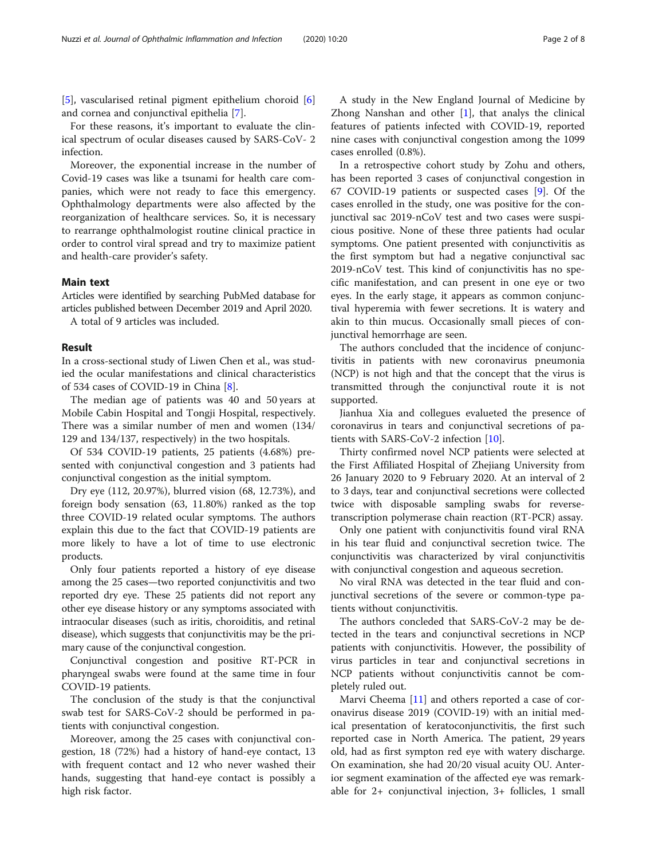[[5\]](#page-6-0), vascularised retinal pigment epithelium choroid [\[6](#page-6-0)] and cornea and conjunctival epithelia [\[7](#page-6-0)].

For these reasons, it's important to evaluate the clinical spectrum of ocular diseases caused by SARS-CoV- 2 infection.

Moreover, the exponential increase in the number of Covid-19 cases was like a tsunami for health care companies, which were not ready to face this emergency. Ophthalmology departments were also affected by the reorganization of healthcare services. So, it is necessary to rearrange ophthalmologist routine clinical practice in order to control viral spread and try to maximize patient and health-care provider's safety.

#### Main text

Articles were identified by searching PubMed database for articles published between December 2019 and April 2020.

A total of 9 articles was included.

#### Result

In a cross-sectional study of Liwen Chen et al., was studied the ocular manifestations and clinical characteristics of 534 cases of COVID-19 in China [\[8](#page-6-0)].

The median age of patients was 40 and 50 years at Mobile Cabin Hospital and Tongji Hospital, respectively. There was a similar number of men and women (134/ 129 and 134/137, respectively) in the two hospitals.

Of 534 COVID-19 patients, 25 patients (4.68%) presented with conjunctival congestion and 3 patients had conjunctival congestion as the initial symptom.

Dry eye (112, 20.97%), blurred vision (68, 12.73%), and foreign body sensation (63, 11.80%) ranked as the top three COVID-19 related ocular symptoms. The authors explain this due to the fact that COVID-19 patients are more likely to have a lot of time to use electronic products.

Only four patients reported a history of eye disease among the 25 cases—two reported conjunctivitis and two reported dry eye. These 25 patients did not report any other eye disease history or any symptoms associated with intraocular diseases (such as iritis, choroiditis, and retinal disease), which suggests that conjunctivitis may be the primary cause of the conjunctival congestion.

Conjunctival congestion and positive RT-PCR in pharyngeal swabs were found at the same time in four COVID-19 patients.

The conclusion of the study is that the conjunctival swab test for SARS-CoV-2 should be performed in patients with conjunctival congestion.

Moreover, among the 25 cases with conjunctival congestion, 18 (72%) had a history of hand-eye contact, 13 with frequent contact and 12 who never washed their hands, suggesting that hand-eye contact is possibly a high risk factor.

A study in the New England Journal of Medicine by Zhong Nanshan and other  $[1]$  $[1]$  $[1]$ , that analys the clinical features of patients infected with COVID-19, reported nine cases with conjunctival congestion among the 1099 cases enrolled (0.8%).

In a retrospective cohort study by Zohu and others, has been reported 3 cases of conjunctival congestion in 67 COVID-19 patients or suspected cases [[9\]](#page-6-0). Of the cases enrolled in the study, one was positive for the conjunctival sac 2019-nCoV test and two cases were suspicious positive. None of these three patients had ocular symptoms. One patient presented with conjunctivitis as the first symptom but had a negative conjunctival sac 2019-nCoV test. This kind of conjunctivitis has no specific manifestation, and can present in one eye or two eyes. In the early stage, it appears as common conjunctival hyperemia with fewer secretions. It is watery and akin to thin mucus. Occasionally small pieces of conjunctival hemorrhage are seen.

The authors concluded that the incidence of conjunctivitis in patients with new coronavirus pneumonia (NCP) is not high and that the concept that the virus is transmitted through the conjunctival route it is not supported.

Jianhua Xia and collegues evalueted the presence of coronavirus in tears and conjunctival secretions of patients with SARS-CoV-2 infection [[10](#page-6-0)].

Thirty confirmed novel NCP patients were selected at the First Affiliated Hospital of Zhejiang University from 26 January 2020 to 9 February 2020. At an interval of 2 to 3 days, tear and conjunctival secretions were collected twice with disposable sampling swabs for reversetranscription polymerase chain reaction (RT-PCR) assay.

Only one patient with conjunctivitis found viral RNA in his tear fluid and conjunctival secretion twice. The conjunctivitis was characterized by viral conjunctivitis with conjunctival congestion and aqueous secretion.

No viral RNA was detected in the tear fluid and conjunctival secretions of the severe or common-type patients without conjunctivitis.

The authors concleded that SARS-CoV-2 may be detected in the tears and conjunctival secretions in NCP patients with conjunctivitis. However, the possibility of virus particles in tear and conjunctival secretions in NCP patients without conjunctivitis cannot be completely ruled out.

Marvi Cheema [\[11](#page-6-0)] and others reported a case of coronavirus disease 2019 (COVID-19) with an initial medical presentation of keratoconjunctivitis, the first such reported case in North America. The patient, 29 years old, had as first sympton red eye with watery discharge. On examination, she had 20/20 visual acuity OU. Anterior segment examination of the affected eye was remarkable for 2+ conjunctival injection, 3+ follicles, 1 small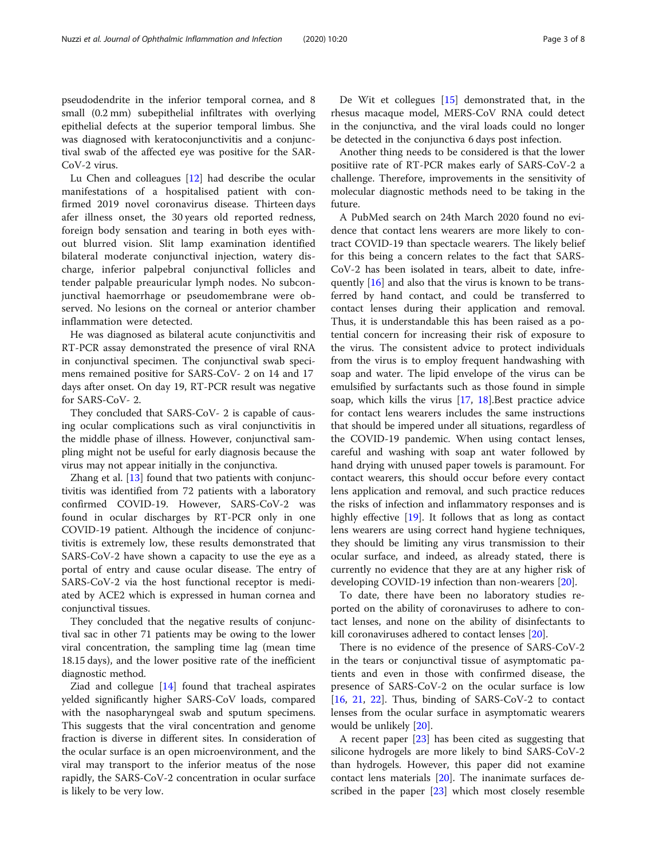pseudodendrite in the inferior temporal cornea, and 8 small (0.2 mm) subepithelial infiltrates with overlying epithelial defects at the superior temporal limbus. She was diagnosed with keratoconjunctivitis and a conjunctival swab of the affected eye was positive for the SAR-CoV-2 virus.

Lu Chen and colleagues [[12\]](#page-6-0) had describe the ocular manifestations of a hospitalised patient with confirmed 2019 novel coronavirus disease. Thirteen days afer illness onset, the 30 years old reported redness, foreign body sensation and tearing in both eyes without blurred vision. Slit lamp examination identified bilateral moderate conjunctival injection, watery discharge, inferior palpebral conjunctival follicles and tender palpable preauricular lymph nodes. No subconjunctival haemorrhage or pseudomembrane were observed. No lesions on the corneal or anterior chamber inflammation were detected.

He was diagnosed as bilateral acute conjunctivitis and RT-PCR assay demonstrated the presence of viral RNA in conjunctival specimen. The conjunctival swab specimens remained positive for SARS-CoV- 2 on 14 and 17 days after onset. On day 19, RT-PCR result was negative for SARS-CoV- 2.

They concluded that SARS-CoV- 2 is capable of causing ocular complications such as viral conjunctivitis in the middle phase of illness. However, conjunctival sampling might not be useful for early diagnosis because the virus may not appear initially in the conjunctiva.

Zhang et al. [\[13\]](#page-6-0) found that two patients with conjunctivitis was identified from 72 patients with a laboratory confirmed COVID-19. However, SARS-CoV-2 was found in ocular discharges by RT-PCR only in one COVID-19 patient. Although the incidence of conjunctivitis is extremely low, these results demonstrated that SARS-CoV-2 have shown a capacity to use the eye as a portal of entry and cause ocular disease. The entry of SARS-CoV-2 via the host functional receptor is mediated by ACE2 which is expressed in human cornea and conjunctival tissues.

They concluded that the negative results of conjunctival sac in other 71 patients may be owing to the lower viral concentration, the sampling time lag (mean time 18.15 days), and the lower positive rate of the inefficient diagnostic method.

Ziad and collegue  $[14]$  $[14]$  found that tracheal aspirates yelded significantly higher SARS-CoV loads, compared with the nasopharyngeal swab and sputum specimens. This suggests that the viral concentration and genome fraction is diverse in different sites. In consideration of the ocular surface is an open microenvironment, and the viral may transport to the inferior meatus of the nose rapidly, the SARS-CoV-2 concentration in ocular surface is likely to be very low.

De Wit et collegues [\[15\]](#page-6-0) demonstrated that, in the rhesus macaque model, MERS-CoV RNA could detect in the conjunctiva, and the viral loads could no longer be detected in the conjunctiva 6 days post infection.

Another thing needs to be considered is that the lower positiive rate of RT-PCR makes early of SARS-CoV-2 a challenge. Therefore, improvements in the sensitivity of molecular diagnostic methods need to be taking in the future.

A PubMed search on 24th March 2020 found no evidence that contact lens wearers are more likely to contract COVID-19 than spectacle wearers. The likely belief for this being a concern relates to the fact that SARS-CoV-2 has been isolated in tears, albeit to date, infre-quently [\[16](#page-6-0)] and also that the virus is known to be transferred by hand contact, and could be transferred to contact lenses during their application and removal. Thus, it is understandable this has been raised as a potential concern for increasing their risk of exposure to the virus. The consistent advice to protect individuals from the virus is to employ frequent handwashing with soap and water. The lipid envelope of the virus can be emulsified by surfactants such as those found in simple soap, which kills the virus [[17](#page-6-0), [18\]](#page-6-0).Best practice advice for contact lens wearers includes the same instructions that should be impered under all situations, regardless of the COVID-19 pandemic. When using contact lenses, careful and washing with soap ant water followed by hand drying with unused paper towels is paramount. For contact wearers, this should occur before every contact lens application and removal, and such practice reduces the risks of infection and inflammatory responses and is highly effective [[19](#page-6-0)]. It follows that as long as contact lens wearers are using correct hand hygiene techniques, they should be limiting any virus transmission to their ocular surface, and indeed, as already stated, there is currently no evidence that they are at any higher risk of developing COVID-19 infection than non-wearers [\[20](#page-6-0)].

To date, there have been no laboratory studies reported on the ability of coronaviruses to adhere to contact lenses, and none on the ability of disinfectants to kill coronaviruses adhered to contact lenses [[20](#page-6-0)].

There is no evidence of the presence of SARS-CoV-2 in the tears or conjunctival tissue of asymptomatic patients and even in those with confirmed disease, the presence of SARS-CoV-2 on the ocular surface is low [[16,](#page-6-0) [21](#page-7-0), [22](#page-7-0)]. Thus, binding of SARS-CoV-2 to contact lenses from the ocular surface in asymptomatic wearers would be unlikely [\[20](#page-6-0)].

A recent paper [[23\]](#page-7-0) has been cited as suggesting that silicone hydrogels are more likely to bind SARS-CoV-2 than hydrogels. However, this paper did not examine contact lens materials [[20\]](#page-6-0). The inanimate surfaces described in the paper [[23\]](#page-7-0) which most closely resemble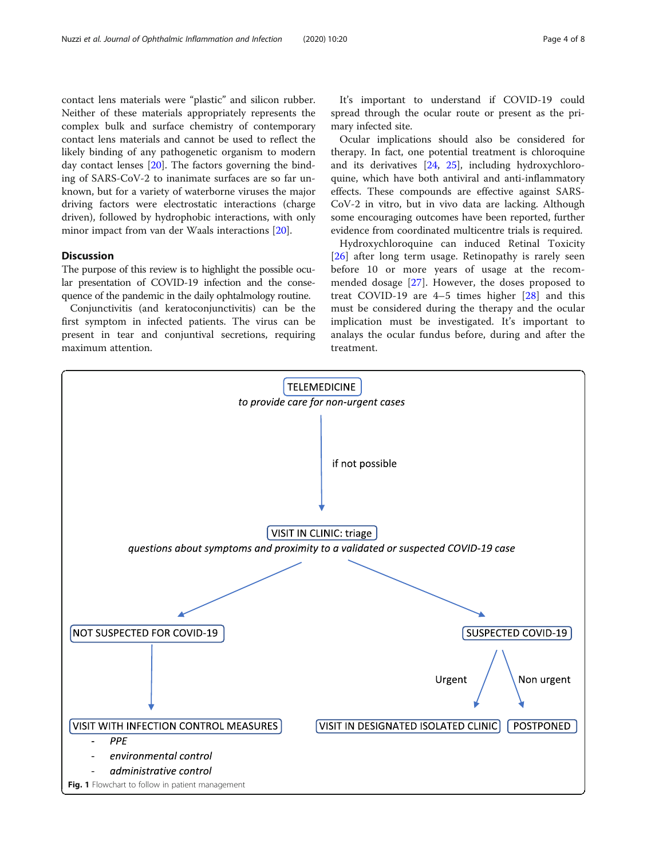<span id="page-3-0"></span>contact lens materials were "plastic" and silicon rubber. Neither of these materials appropriately represents the complex bulk and surface chemistry of contemporary contact lens materials and cannot be used to reflect the likely binding of any pathogenetic organism to modern day contact lenses [[20\]](#page-6-0). The factors governing the binding of SARS-CoV-2 to inanimate surfaces are so far unknown, but for a variety of waterborne viruses the major driving factors were electrostatic interactions (charge driven), followed by hydrophobic interactions, with only minor impact from van der Waals interactions [[20\]](#page-6-0).

#### **Discussion**

The purpose of this review is to highlight the possible ocular presentation of COVID-19 infection and the consequence of the pandemic in the daily ophtalmology routine.

Conjunctivitis (and keratoconjunctivitis) can be the first symptom in infected patients. The virus can be present in tear and conjuntival secretions, requiring maximum attention.

It's important to understand if COVID-19 could spread through the ocular route or present as the primary infected site.

Ocular implications should also be considered for therapy. In fact, one potential treatment is chloroquine and its derivatives [\[24,](#page-7-0) [25\]](#page-7-0), including hydroxychloroquine, which have both antiviral and anti-inflammatory effects. These compounds are effective against SARS-CoV-2 in vitro, but in vivo data are lacking. Although some encouraging outcomes have been reported, further evidence from coordinated multicentre trials is required.

Hydroxychloroquine can induced Retinal Toxicity [[26\]](#page-7-0) after long term usage. Retinopathy is rarely seen before 10 or more years of usage at the recommended dosage [\[27\]](#page-7-0). However, the doses proposed to treat COVID-19 are 4–5 times higher [[28\]](#page-7-0) and this must be considered during the therapy and the ocular implication must be investigated. It's important to analays the ocular fundus before, during and after the treatment.

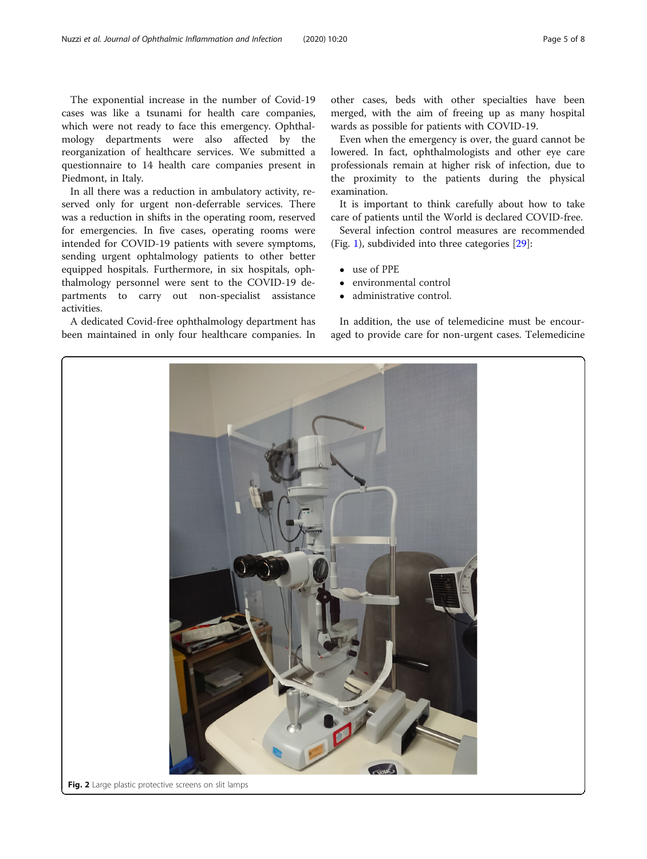<span id="page-4-0"></span>The exponential increase in the number of Covid-19 cases was like a tsunami for health care companies, which were not ready to face this emergency. Ophthalmology departments were also affected by the reorganization of healthcare services. We submitted a questionnaire to 14 health care companies present in Piedmont, in Italy.

In all there was a reduction in ambulatory activity, reserved only for urgent non-deferrable services. There was a reduction in shifts in the operating room, reserved for emergencies. In five cases, operating rooms were intended for COVID-19 patients with severe symptoms, sending urgent ophtalmology patients to other better equipped hospitals. Furthermore, in six hospitals, ophthalmology personnel were sent to the COVID-19 departments to carry out non-specialist assistance activities.

A dedicated Covid-free ophthalmology department has been maintained in only four healthcare companies. In

other cases, beds with other specialties have been merged, with the aim of freeing up as many hospital wards as possible for patients with COVID-19.

Even when the emergency is over, the guard cannot be lowered. In fact, ophthalmologists and other eye care professionals remain at higher risk of infection, due to the proximity to the patients during the physical examination.

It is important to think carefully about how to take care of patients until the World is declared COVID-free.

Several infection control measures are recommended (Fig. [1](#page-3-0)), subdivided into three categories [\[29\]](#page-7-0):

- use of PPE
- environmental control
- administrative control.

In addition, the use of telemedicine must be encouraged to provide care for non-urgent cases. Telemedicine

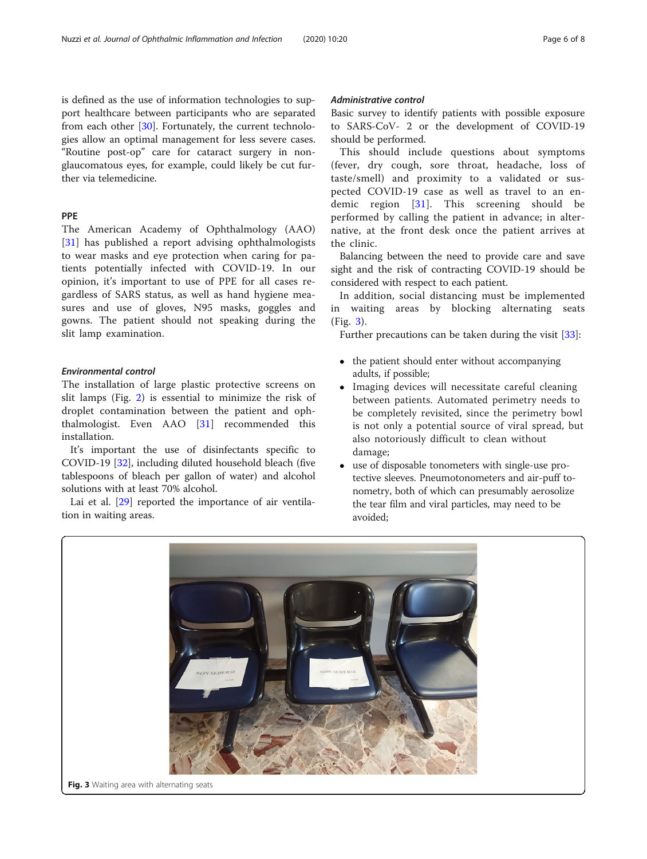is defined as the use of information technologies to support healthcare between participants who are separated from each other [\[30](#page-7-0)]. Fortunately, the current technologies allow an optimal management for less severe cases. "Routine post-op" care for cataract surgery in nonglaucomatous eyes, for example, could likely be cut further via telemedicine.

### PPE

The American Academy of Ophthalmology (AAO) [[31\]](#page-7-0) has published a report advising ophthalmologists to wear masks and eye protection when caring for patients potentially infected with COVID-19. In our opinion, it's important to use of PPE for all cases regardless of SARS status, as well as hand hygiene measures and use of gloves, N95 masks, goggles and gowns. The patient should not speaking during the slit lamp examination.

#### Environmental control

The installation of large plastic protective screens on slit lamps (Fig. [2](#page-4-0)) is essential to minimize the risk of droplet contamination between the patient and ophthalmologist. Even AAO [[31\]](#page-7-0) recommended this installation.

It's important the use of disinfectants specific to COVID-19 [[32\]](#page-7-0), including diluted household bleach (five tablespoons of bleach per gallon of water) and alcohol solutions with at least 70% alcohol.

Lai et al. [\[29](#page-7-0)] reported the importance of air ventilation in waiting areas.

#### Administrative control

Basic survey to identify patients with possible exposure to SARS-CoV- 2 or the development of COVID-19 should be performed.

This should include questions about symptoms (fever, dry cough, sore throat, headache, loss of taste/smell) and proximity to a validated or suspected COVID-19 case as well as travel to an endemic region [\[31](#page-7-0)]. This screening should be performed by calling the patient in advance; in alternative, at the front desk once the patient arrives at the clinic.

Balancing between the need to provide care and save sight and the risk of contracting COVID-19 should be considered with respect to each patient.

In addition, social distancing must be implemented in waiting areas by blocking alternating seats (Fig. 3).

Further precautions can be taken during the visit [[33\]](#page-7-0):

- the patient should enter without accompanying adults, if possible;
- Imaging devices will necessitate careful cleaning between patients. Automated perimetry needs to be completely revisited, since the perimetry bowl is not only a potential source of viral spread, but also notoriously difficult to clean without damage;
- use of disposable tonometers with single-use protective sleeves. Pneumotonometers and air-puff tonometry, both of which can presumably aerosolize the tear film and viral particles, may need to be avoided;

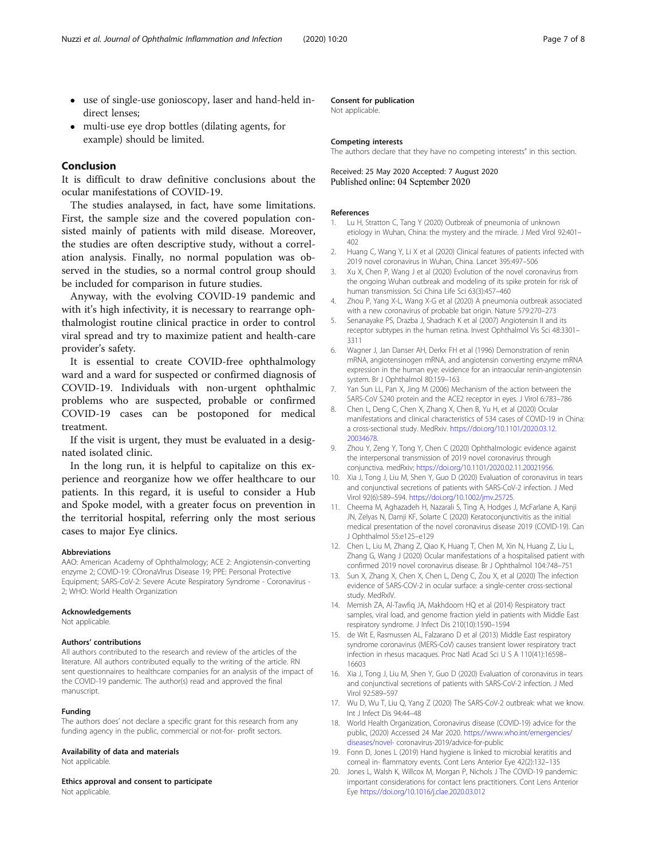- <span id="page-6-0"></span> use of single-use gonioscopy, laser and hand-held indirect lenses;
- multi-use eye drop bottles (dilating agents, for example) should be limited.

#### Conclusion

It is difficult to draw definitive conclusions about the ocular manifestations of COVID-19.

The studies analaysed, in fact, have some limitations. First, the sample size and the covered population consisted mainly of patients with mild disease. Moreover, the studies are often descriptive study, without a correlation analysis. Finally, no normal population was observed in the studies, so a normal control group should be included for comparison in future studies.

Anyway, with the evolving COVID-19 pandemic and with it's high infectivity, it is necessary to rearrange ophthalmologist routine clinical practice in order to control viral spread and try to maximize patient and health-care provider's safety.

It is essential to create COVID-free ophthalmology ward and a ward for suspected or confirmed diagnosis of COVID-19. Individuals with non-urgent ophthalmic problems who are suspected, probable or confirmed COVID-19 cases can be postoponed for medical treatment.

If the visit is urgent, they must be evaluated in a designated isolated clinic.

In the long run, it is helpful to capitalize on this experience and reorganize how we offer healthcare to our patients. In this regard, it is useful to consider a Hub and Spoke model, with a greater focus on prevention in the territorial hospital, referring only the most serious cases to major Eye clinics.

#### Abbreviations

AAO: American Academy of Ophthalmology; ACE 2: Angiotensin-converting enzyme 2; COVID-19: COronaVIrus Disease 19; PPE: Personal Protective Equipment; SARS-CoV-2: Severe Acute Respiratory Syndrome - Coronavirus - 2; WHO: World Health Organization

#### Acknowledgements

Not applicable.

#### Authors' contributions

All authors contributed to the research and review of the articles of the literature. All authors contributed equally to the writing of the article. RN sent questionnaires to healthcare companies for an analysis of the impact of the COVID-19 pandemic. The author(s) read and approved the final manuscript.

#### Funding

The authors does' not declare a specific grant for this research from any funding agency in the public, commercial or not-for- profit sectors.

#### Availability of data and materials

Not applicable.

#### Ethics approval and consent to participate

Not applicable.

#### Consent for publication

Not applicable.

#### Competing interests

The authors declare that they have no competing interests" in this section.

Received: 25 May 2020 Accepted: 7 August 2020 Published online: 04 September 2020

#### References

- 1. Lu H, Stratton C, Tang Y (2020) Outbreak of pneumonia of unknown etiology in Wuhan, China: the mystery and the miracle. J Med Virol 92:401– 402
- 2. Huang C, Wang Y, Li X et al (2020) Clinical features of patients infected with 2019 novel coronavirus in Wuhan, China. Lancet 395:497–506
- 3. Xu X, Chen P, Wang J et al (2020) Evolution of the novel coronavirus from the ongoing Wuhan outbreak and modeling of its spike protein for risk of human transmission. Sci China Life Sci 63(3):457–460
- 4. Zhou P, Yang X-L, Wang X-G et al (2020) A pneumonia outbreak associated with a new coronavirus of probable bat origin. Nature 579:270–273
- 5. Senanayake PS, Drazba J, Shadrach K et al (2007) Angiotensin II and its receptor subtypes in the human retina. Invest Ophthalmol Vis Sci 48:3301– 3311
- 6. Wagner J, Jan Danser AH, Derkx FH et al (1996) Demonstration of renin mRNA, angiotensinogen mRNA, and angiotensin converting enzyme mRNA expression in the human eye: evidence for an intraocular renin-angiotensin system. Br J Ophthalmol 80:159–163
- 7. Yan Sun LL, Pan X, Jing M (2006) Mechanism of the action between the SARS-CoV S240 protein and the ACE2 receptor in eyes. J Virol 6:783–786
- 8. Chen L, Deng C, Chen X, Zhang X, Chen B, Yu H, et al (2020) Ocular manifestations and clinical characteristics of 534 cases of COVID-19 in China: a cross-sectional study. MedRxiv. [https://doi.org/10.1101/2020.03.12.](https://doi.org/10.1101/2020.03.12.20034678) [20034678](https://doi.org/10.1101/2020.03.12.20034678).
- 9. Zhou Y, Zeng Y, Tong Y, Chen C (2020) Ophthalmologic evidence against the interpersonal transmission of 2019 novel coronavirus through conjunctiva. medRxiv; [https://doi.org/10.1101/2020.02.11.20021956.](https://doi.org/10.1101/2020.02.11.20021956)
- 10. Xia J, Tong J, Liu M, Shen Y, Guo D (2020) Evaluation of coronavirus in tears and conjunctival secretions of patients with SARS-CoV-2 infection. J Med Virol 92(6):589–594. [https://doi.org/10.1002/jmv.25725.](https://doi.org/10.1002/jmv.25725)
- 11. Cheema M, Aghazadeh H, Nazarali S, Ting A, Hodges J, McFarlane A, Kanji JN, Zelyas N, Damji KF, Solarte C (2020) Keratoconjunctivitis as the initial medical presentation of the novel coronavirus disease 2019 (COVID-19). Can J Ophthalmol 55:e125–e129
- 12. Chen L, Liu M, Zhang Z, Qiao K, Huang T, Chen M, Xin N, Huang Z, Liu L, Zhang G, Wang J (2020) Ocular manifestations of a hospitalised patient with confirmed 2019 novel coronavirus disease. Br J Ophthalmol 104:748–751
- 13. Sun X, Zhang X, Chen X, Chen L, Deng C, Zou X, et al (2020) The infection evidence of SARS-COV-2 in ocular surface: a single-center cross-sectional study. MedRxIV.
- 14. Memish ZA, Al-Tawfiq JA, Makhdoom HQ et al (2014) Respiratory tract samples, viral load, and genome fraction yield in patients with Middle East respiratory syndrome. J Infect Dis 210(10):1590–1594
- 15. de Wit E, Rasmussen AL, Falzarano D et al (2013) Middle East respiratory syndrome coronavirus (MERS-CoV) causes transient lower respiratory tract infection in rhesus macaques. Proc Natl Acad Sci U S A 110(41):16598– 16603
- 16. Xia J, Tong J, Liu M, Shen Y, Guo D (2020) Evaluation of coronavirus in tears and conjunctival secretions of patients with SARS-CoV-2 infection. J Med Virol 92:589–597
- 17. Wu D, Wu T, Liu Q, Yang Z (2020) The SARS-CoV-2 outbreak: what we know. Int J Infect Dis 94:44–48
- 18. World Health Organization, Coronavirus disease (COVID-19) advice for the public, (2020) Accessed 24 Mar 2020. [https://www.who.int/emergencies/](https://www.who.int/emergencies/diseases/novel-) [diseases/novel-](https://www.who.int/emergencies/diseases/novel-) coronavirus-2019/advice-for-public
- 19. Fonn D, Jones L (2019) Hand hygiene is linked to microbial keratitis and corneal in- flammatory events. Cont Lens Anterior Eye 42(2):132–135
- 20. Jones L, Walsh K, Willcox M, Morgan P, Nichols J The COVID-19 pandemic: important considerations for contact lens practitioners. Cont Lens Anterior Eye <https://doi.org/10.1016/j.clae.2020.03.012>